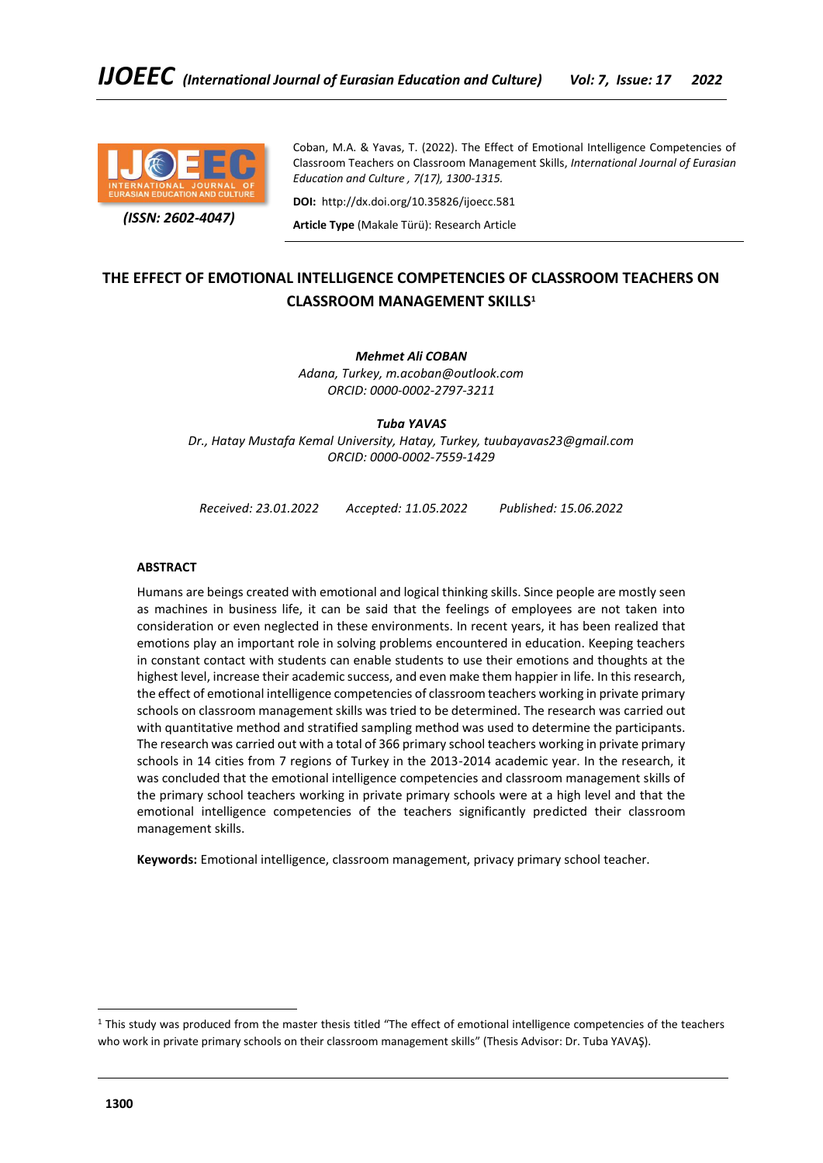

 *(ISSN: 2602-4047)*

Coban, M.A. & Yavas, T. (2022). The Effect of Emotional Intelligence Competencies of Classroom Teachers on Classroom Management Skills, *International Journal of Eurasian Education and Culture , 7(17), 1300-1315.*

**DOI:** http://dx.doi.org/10.35826/ijoecc.581

**Article Type** (Makale Türü): Research Article

# **THE EFFECT OF EMOTIONAL INTELLIGENCE COMPETENCIES OF CLASSROOM TEACHERS ON CLASSROOM MANAGEMENT SKILLS<sup>1</sup>**

# *Mehmet Ali COBAN*

*Adana, Turkey, m.acoban@outlook.com ORCID: 0000-0002-2797-3211*

*Tuba YAVAS*

*Dr., Hatay Mustafa Kemal University, Hatay, Turkey, tuubayavas23@gmail.com ORCID: 0000-0002-7559-1429*

*Received: 23.01.2022 Accepted: 11.05.2022 Published: 15.06.2022*

# **ABSTRACT**

Humans are beings created with emotional and logical thinking skills. Since people are mostly seen as machines in business life, it can be said that the feelings of employees are not taken into consideration or even neglected in these environments. In recent years, it has been realized that emotions play an important role in solving problems encountered in education. Keeping teachers in constant contact with students can enable students to use their emotions and thoughts at the highest level, increase their academic success, and even make them happier in life. In this research, the effect of emotional intelligence competencies of classroom teachers working in private primary schools on classroom management skills was tried to be determined. The research was carried out with quantitative method and stratified sampling method was used to determine the participants. The research was carried out with a total of 366 primary school teachers working in private primary schools in 14 cities from 7 regions of Turkey in the 2013-2014 academic year. In the research, it was concluded that the emotional intelligence competencies and classroom management skills of the primary school teachers working in private primary schools were at a high level and that the emotional intelligence competencies of the teachers significantly predicted their classroom management skills.

**Keywords:** Emotional intelligence, classroom management, privacy primary school teacher.

<sup>&</sup>lt;sup>1</sup> This study was produced from the master thesis titled "The effect of emotional intelligence competencies of the teachers who work in private primary schools on their classroom management skills" (Thesis Advisor: Dr. Tuba YAVAŞ).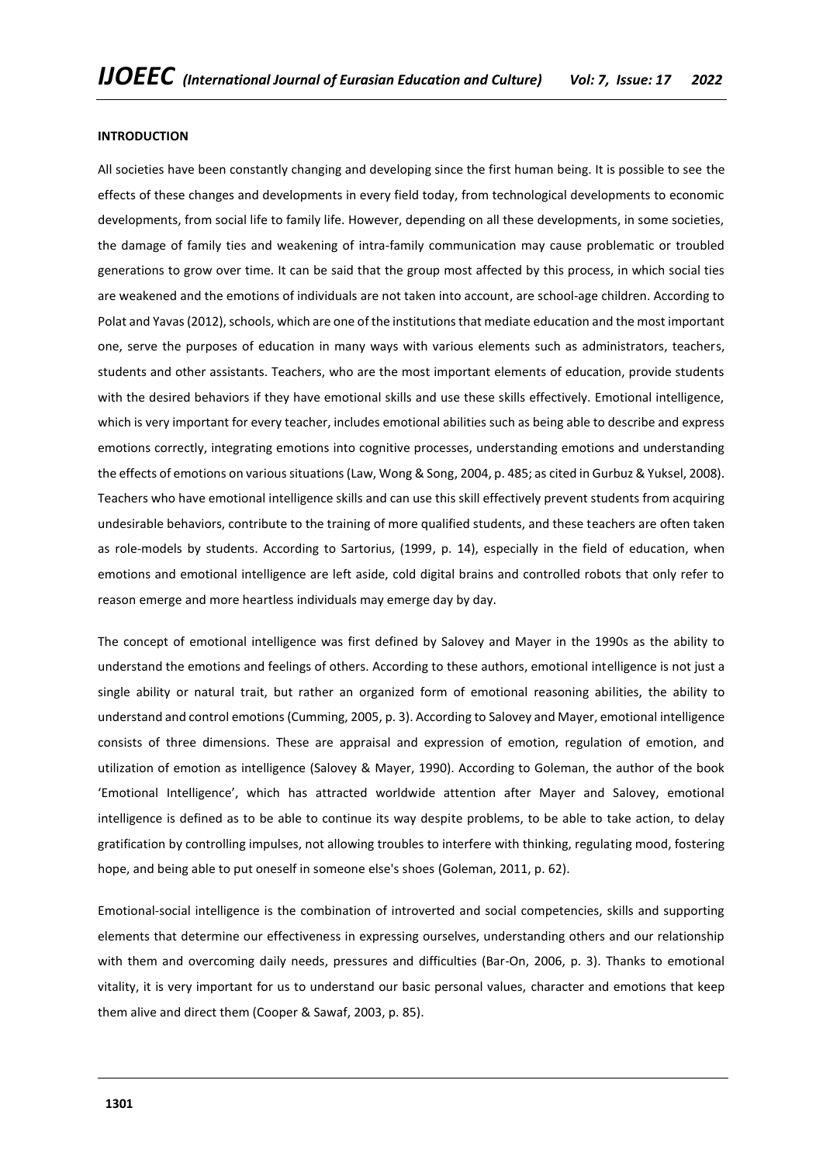#### **INTRODUCTION**

All societies have been constantly changing and developing since the first human being. It is possible to see the effects of these changes and developments in every field today, from technological developments to economic developments, from social life to family life. However, depending on all these developments, in some societies, the damage of family ties and weakening of intra-family communication may cause problematic or troubled generations to grow over time. It can be said that the group most affected by this process, in which social ties are weakened and the emotions of individuals are not taken into account, are school-age children. According to Polat and Yavas (2012), schools, which are one of the institutions that mediate education and the most important one, serve the purposes of education in many ways with various elements such as administrators, teachers, students and other assistants. Teachers, who are the most important elements of education, provide students with the desired behaviors if they have emotional skills and use these skills effectively. Emotional intelligence, which is very important for every teacher, includes emotional abilities such as being able to describe and express emotions correctly, integrating emotions into cognitive processes, understanding emotions and understanding the effects of emotions on various situations (Law, Wong & Song, 2004, p. 485; as cited in Gurbuz & Yuksel, 2008). Teachers who have emotional intelligence skills and can use this skill effectively prevent students from acquiring undesirable behaviors, contribute to the training of more qualified students, and these teachers are often taken as role-models by students. According to Sartorius, (1999, p. 14), especially in the field of education, when emotions and emotional intelligence are left aside, cold digital brains and controlled robots that only refer to reason emerge and more heartless individuals may emerge day by day.

The concept of emotional intelligence was first defined by Salovey and Mayer in the 1990s as the ability to understand the emotions and feelings of others. According to these authors, emotional intelligence is not just a single ability or natural trait, but rather an organized form of emotional reasoning abilities, the ability to understand and control emotions (Cumming, 2005, p. 3). According to Salovey and Mayer, emotional intelligence consists of three dimensions. These are appraisal and expression of emotion, regulation of emotion, and utilization of emotion as intelligence (Salovey & Mayer, 1990). According to Goleman, the author of the book 'Emotional Intelligence', which has attracted worldwide attention after Mayer and Salovey, emotional intelligence is defined as to be able to continue its way despite problems, to be able to take action, to delay gratification by controlling impulses, not allowing troubles to interfere with thinking, regulating mood, fostering hope, and being able to put oneself in someone else's shoes (Goleman, 2011, p. 62).

Emotional-social intelligence is the combination of introverted and social competencies, skills and supporting elements that determine our effectiveness in expressing ourselves, understanding others and our relationship with them and overcoming daily needs, pressures and difficulties (Bar-On, 2006, p. 3). Thanks to emotional vitality, it is very important for us to understand our basic personal values, character and emotions that keep them alive and direct them (Cooper & Sawaf, 2003, p. 85).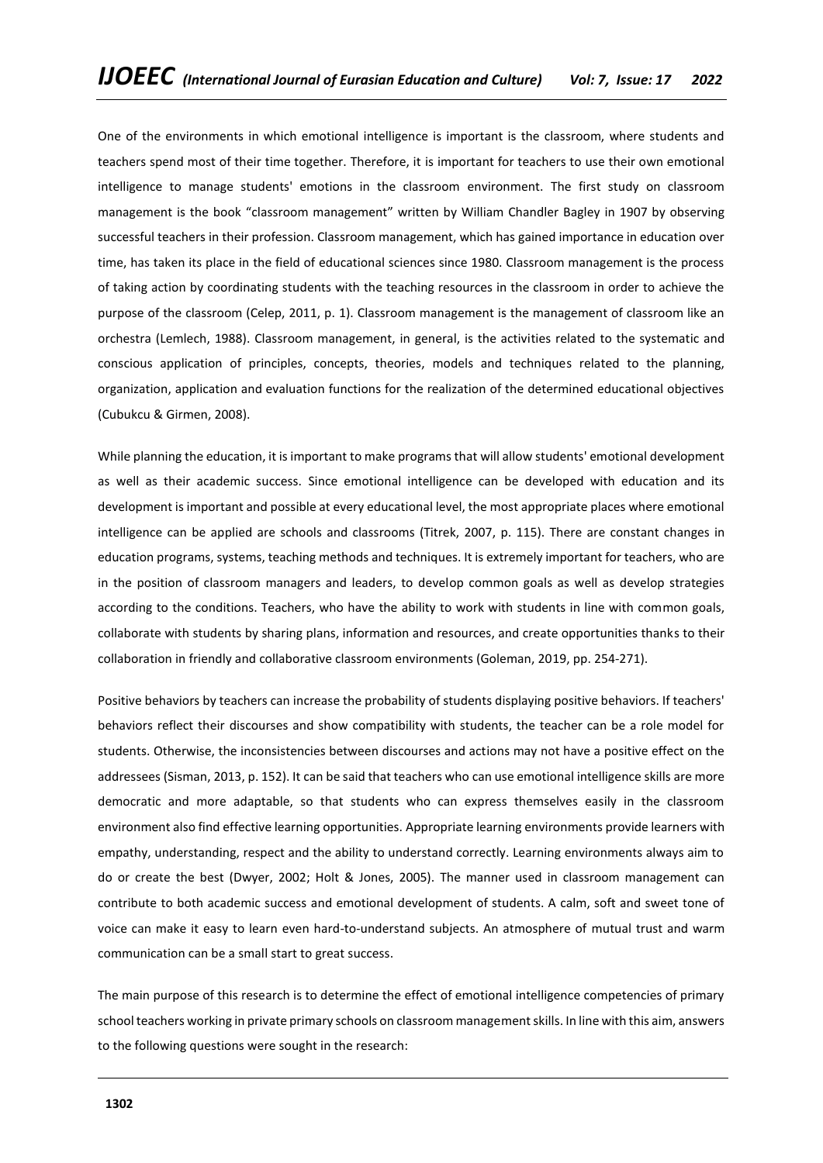One of the environments in which emotional intelligence is important is the classroom, where students and teachers spend most of their time together. Therefore, it is important for teachers to use their own emotional intelligence to manage students' emotions in the classroom environment. The first study on classroom management is the book "classroom management" written by William Chandler Bagley in 1907 by observing successful teachers in their profession. Classroom management, which has gained importance in education over time, has taken its place in the field of educational sciences since 1980. Classroom management is the process of taking action by coordinating students with the teaching resources in the classroom in order to achieve the purpose of the classroom (Celep, 2011, p. 1). Classroom management is the management of classroom like an orchestra (Lemlech, 1988). Classroom management, in general, is the activities related to the systematic and conscious application of principles, concepts, theories, models and techniques related to the planning, organization, application and evaluation functions for the realization of the determined educational objectives (Cubukcu & Girmen, 2008).

While planning the education, it is important to make programs that will allow students' emotional development as well as their academic success. Since emotional intelligence can be developed with education and its development is important and possible at every educational level, the most appropriate places where emotional intelligence can be applied are schools and classrooms (Titrek, 2007, p. 115). There are constant changes in education programs, systems, teaching methods and techniques. It is extremely important for teachers, who are in the position of classroom managers and leaders, to develop common goals as well as develop strategies according to the conditions. Teachers, who have the ability to work with students in line with common goals, collaborate with students by sharing plans, information and resources, and create opportunities thanks to their collaboration in friendly and collaborative classroom environments (Goleman, 2019, pp. 254-271).

Positive behaviors by teachers can increase the probability of students displaying positive behaviors. If teachers' behaviors reflect their discourses and show compatibility with students, the teacher can be a role model for students. Otherwise, the inconsistencies between discourses and actions may not have a positive effect on the addressees (Sisman, 2013, p. 152). It can be said that teachers who can use emotional intelligence skills are more democratic and more adaptable, so that students who can express themselves easily in the classroom environment also find effective learning opportunities. Appropriate learning environments provide learners with empathy, understanding, respect and the ability to understand correctly. Learning environments always aim to do or create the best (Dwyer, 2002; Holt & Jones, 2005). The manner used in classroom management can contribute to both academic success and emotional development of students. A calm, soft and sweet tone of voice can make it easy to learn even hard-to-understand subjects. An atmosphere of mutual trust and warm communication can be a small start to great success.

The main purpose of this research is to determine the effect of emotional intelligence competencies of primary school teachers working in private primary schools on classroom management skills. In line with this aim, answers to the following questions were sought in the research: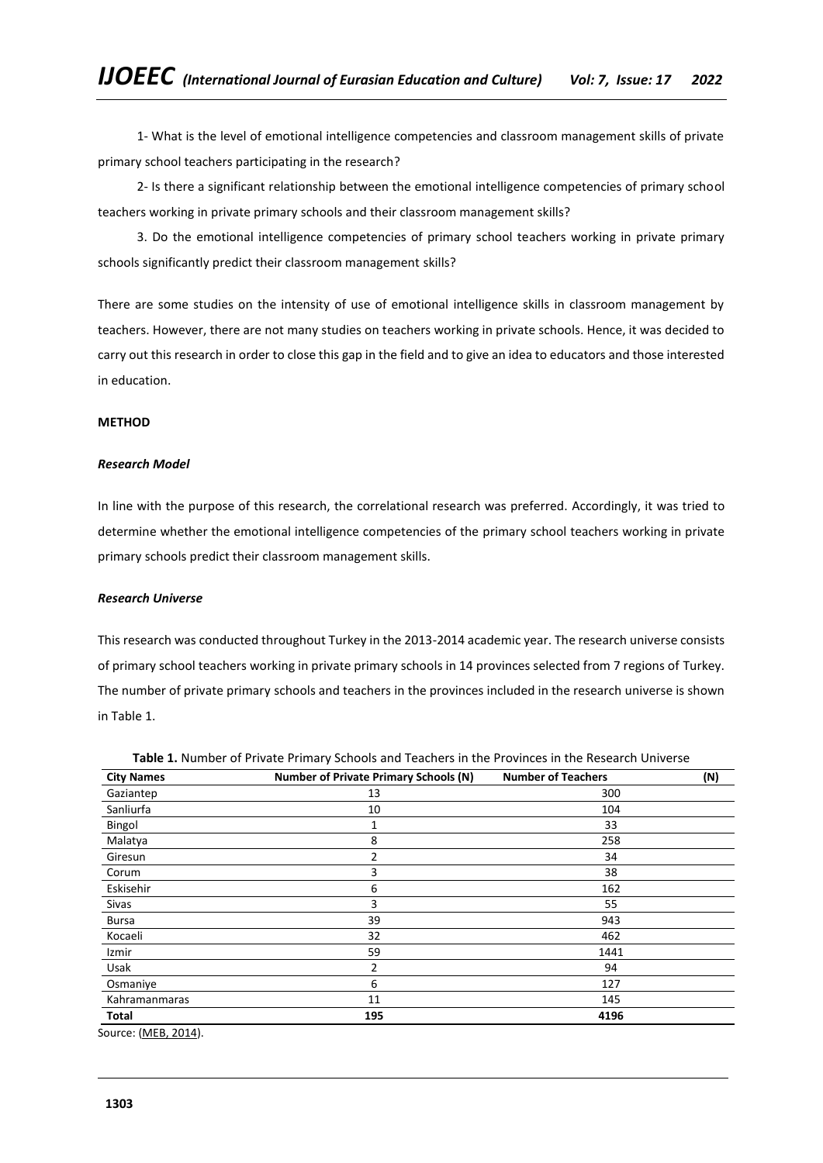1- What is the level of emotional intelligence competencies and classroom management skills of private primary school teachers participating in the research?

2- Is there a significant relationship between the emotional intelligence competencies of primary school teachers working in private primary schools and their classroom management skills?

3. Do the emotional intelligence competencies of primary school teachers working in private primary schools significantly predict their classroom management skills?

There are some studies on the intensity of use of emotional intelligence skills in classroom management by teachers. However, there are not many studies on teachers working in private schools. Hence, it was decided to carry out this research in order to close this gap in the field and to give an idea to educators and those interested in education.

# **METHOD**

## *Research Model*

In line with the purpose of this research, the correlational research was preferred. Accordingly, it was tried to determine whether the emotional intelligence competencies of the primary school teachers working in private primary schools predict their classroom management skills.

#### *Research Universe*

This research was conducted throughout Turkey in the 2013-2014 academic year. The research universe consists of primary school teachers working in private primary schools in 14 provinces selected from 7 regions of Turkey. The number of private primary schools and teachers in the provinces included in the research universe is shown in Table 1.

| <b>City Names</b> | <b>Number of Private Primary Schools (N)</b> | <b>Number of Teachers</b> | (N) |
|-------------------|----------------------------------------------|---------------------------|-----|
| Gaziantep         | 13                                           | 300                       |     |
| Sanliurfa         | 10                                           | 104                       |     |
| Bingol            | 1                                            | 33                        |     |
| Malatya           | 8                                            | 258                       |     |
| Giresun           | 2                                            | 34                        |     |
| Corum             | 3                                            | 38                        |     |
| Eskisehir         | 6                                            | 162                       |     |
| Sivas             | 3                                            | 55                        |     |
| <b>Bursa</b>      | 39                                           | 943                       |     |
| Kocaeli           | 32                                           | 462                       |     |
| Izmir             | 59                                           | 1441                      |     |
| Usak              | 2                                            | 94                        |     |
| Osmaniye          | 6                                            | 127                       |     |
| Kahramanmaras     | 11                                           | 145                       |     |
| Total             | 195                                          | 4196                      |     |

**Table 1.** Number of Private Primary Schools and Teachers in the Provinces in the Research Universe

Source: [\(MEB, 2014\)](http://sgb.meb.gov.tr/istatistik/meb_istatistikleri_orgun_egitim_2013_2014).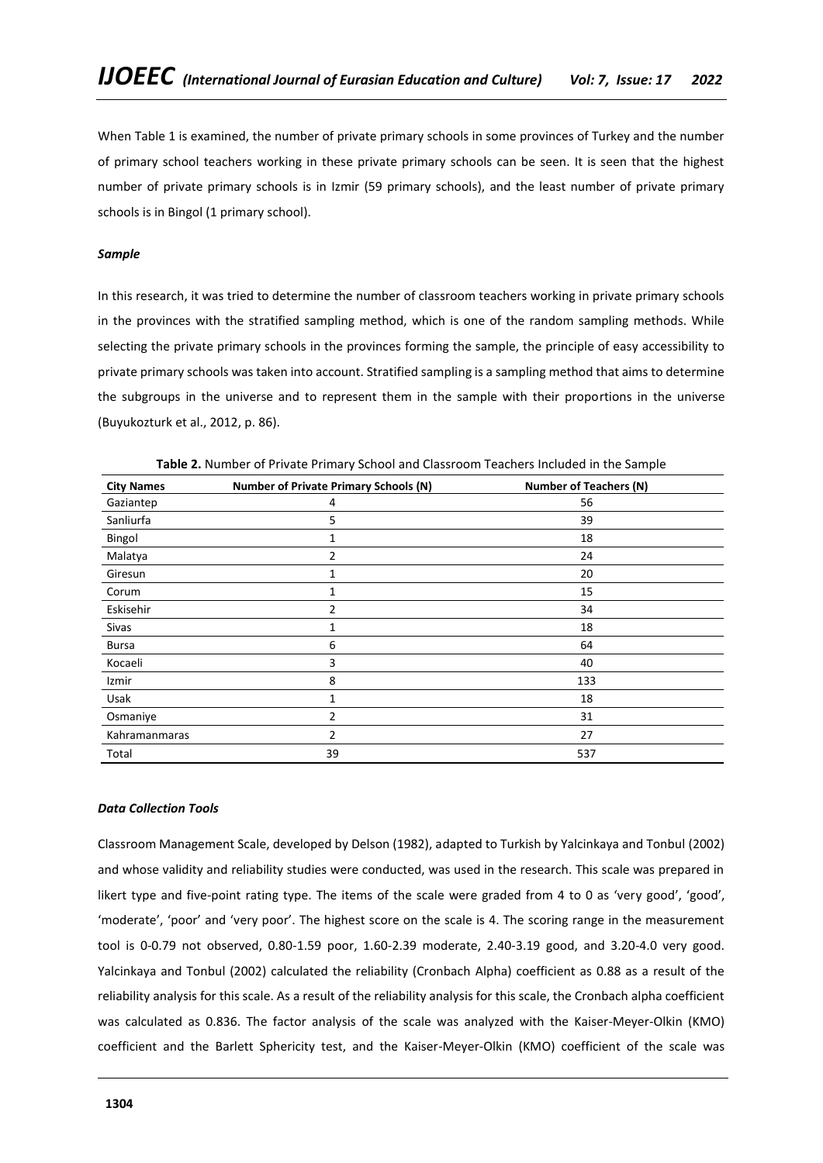When Table 1 is examined, the number of private primary schools in some provinces of Turkey and the number of primary school teachers working in these private primary schools can be seen. It is seen that the highest number of private primary schools is in Izmir (59 primary schools), and the least number of private primary schools is in Bingol (1 primary school).

# *Sample*

In this research, it was tried to determine the number of classroom teachers working in private primary schools in the provinces with the stratified sampling method, which is one of the random sampling methods. While selecting the private primary schools in the provinces forming the sample, the principle of easy accessibility to private primary schools was taken into account. Stratified sampling is a sampling method that aims to determine the subgroups in the universe and to represent them in the sample with their proportions in the universe (Buyukozturk et al., 2012, p. 86).

| <b>City Names</b> | <b>Number of Private Primary Schools (N)</b> | <b>Number of Teachers (N)</b> |
|-------------------|----------------------------------------------|-------------------------------|
| Gaziantep         | 4                                            | 56                            |
| Sanliurfa         | 5                                            | 39                            |
| Bingol            | 1                                            | 18                            |
| Malatya           | 2                                            | 24                            |
| Giresun           | 1                                            | 20                            |
| Corum             | 1                                            | 15                            |
| Eskisehir         | 2                                            | 34                            |
| Sivas             | 1                                            | 18                            |
| <b>Bursa</b>      | 6                                            | 64                            |
| Kocaeli           | 3                                            | 40                            |
| Izmir             | 8                                            | 133                           |
| Usak              |                                              | 18                            |
| Osmaniye          | $\overline{2}$                               | 31                            |
| Kahramanmaras     | 2                                            | 27                            |
| Total             | 39                                           | 537                           |

**Table 2.** Number of Private Primary School and Classroom Teachers Included in the Sample

# *Data Collection Tools*

Classroom Management Scale, developed by Delson (1982), adapted to Turkish by Yalcinkaya and Tonbul (2002) and whose validity and reliability studies were conducted, was used in the research. This scale was prepared in likert type and five-point rating type. The items of the scale were graded from 4 to 0 as 'very good', 'good', 'moderate', 'poor' and 'very poor'. The highest score on the scale is 4. The scoring range in the measurement tool is 0-0.79 not observed, 0.80-1.59 poor, 1.60-2.39 moderate, 2.40-3.19 good, and 3.20-4.0 very good. Yalcinkaya and Tonbul (2002) calculated the reliability (Cronbach Alpha) coefficient as 0.88 as a result of the reliability analysis for this scale. As a result of the reliability analysis for this scale, the Cronbach alpha coefficient was calculated as 0.836. The factor analysis of the scale was analyzed with the Kaiser-Meyer-Olkin (KMO) coefficient and the Barlett Sphericity test, and the Kaiser-Meyer-Olkin (KMO) coefficient of the scale was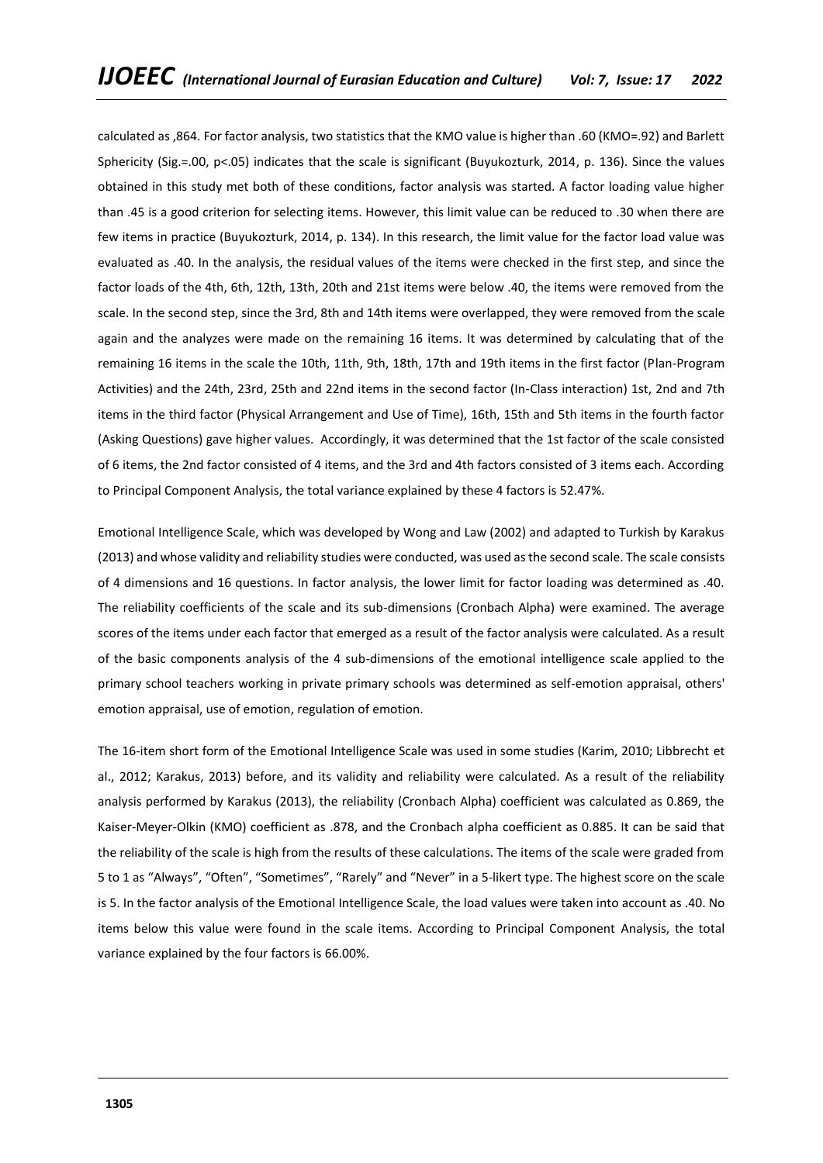calculated as ,864. For factor analysis, two statistics that the KMO value is higher than .60 (KMO=.92) and Barlett Sphericity (Sig.=.00, p<.05) indicates that the scale is significant (Buyukozturk, 2014, p. 136). Since the values obtained in this study met both of these conditions, factor analysis was started. A factor loading value higher than .45 is a good criterion for selecting items. However, this limit value can be reduced to .30 when there are few items in practice (Buyukozturk, 2014, p. 134). In this research, the limit value for the factor load value was evaluated as .40. In the analysis, the residual values of the items were checked in the first step, and since the factor loads of the 4th, 6th, 12th, 13th, 20th and 21st items were below .40, the items were removed from the scale. In the second step, since the 3rd, 8th and 14th items were overlapped, they were removed from the scale again and the analyzes were made on the remaining 16 items. It was determined by calculating that of the remaining 16 items in the scale the 10th, 11th, 9th, 18th, 17th and 19th items in the first factor (Plan-Program Activities) and the 24th, 23rd, 25th and 22nd items in the second factor (In-Class interaction) 1st, 2nd and 7th items in the third factor (Physical Arrangement and Use of Time), 16th, 15th and 5th items in the fourth factor (Asking Questions) gave higher values. Accordingly, it was determined that the 1st factor of the scale consisted of 6 items, the 2nd factor consisted of 4 items, and the 3rd and 4th factors consisted of 3 items each. According to Principal Component Analysis, the total variance explained by these 4 factors is 52.47%.

Emotional Intelligence Scale, which was developed by Wong and Law (2002) and adapted to Turkish by Karakus (2013) and whose validity and reliability studies were conducted, was used as the second scale. The scale consists of 4 dimensions and 16 questions. In factor analysis, the lower limit for factor loading was determined as .40. The reliability coefficients of the scale and its sub-dimensions (Cronbach Alpha) were examined. The average scores of the items under each factor that emerged as a result of the factor analysis were calculated. As a result of the basic components analysis of the 4 sub-dimensions of the emotional intelligence scale applied to the primary school teachers working in private primary schools was determined as self-emotion appraisal, others' emotion appraisal, use of emotion, regulation of emotion.

The 16-item short form of the Emotional Intelligence Scale was used in some studies (Karim, 2010; Libbrecht et al., 2012; Karakus, 2013) before, and its validity and reliability were calculated. As a result of the reliability analysis performed by Karakus (2013), the reliability (Cronbach Alpha) coefficient was calculated as 0.869, the Kaiser-Meyer-Olkin (KMO) coefficient as .878, and the Cronbach alpha coefficient as 0.885. It can be said that the reliability of the scale is high from the results of these calculations. The items of the scale were graded from 5 to 1 as "Always", "Often", "Sometimes", "Rarely" and "Never" in a 5-likert type. The highest score on the scale is 5. In the factor analysis of the Emotional Intelligence Scale, the load values were taken into account as .40. No items below this value were found in the scale items. According to Principal Component Analysis, the total variance explained by the four factors is 66.00%.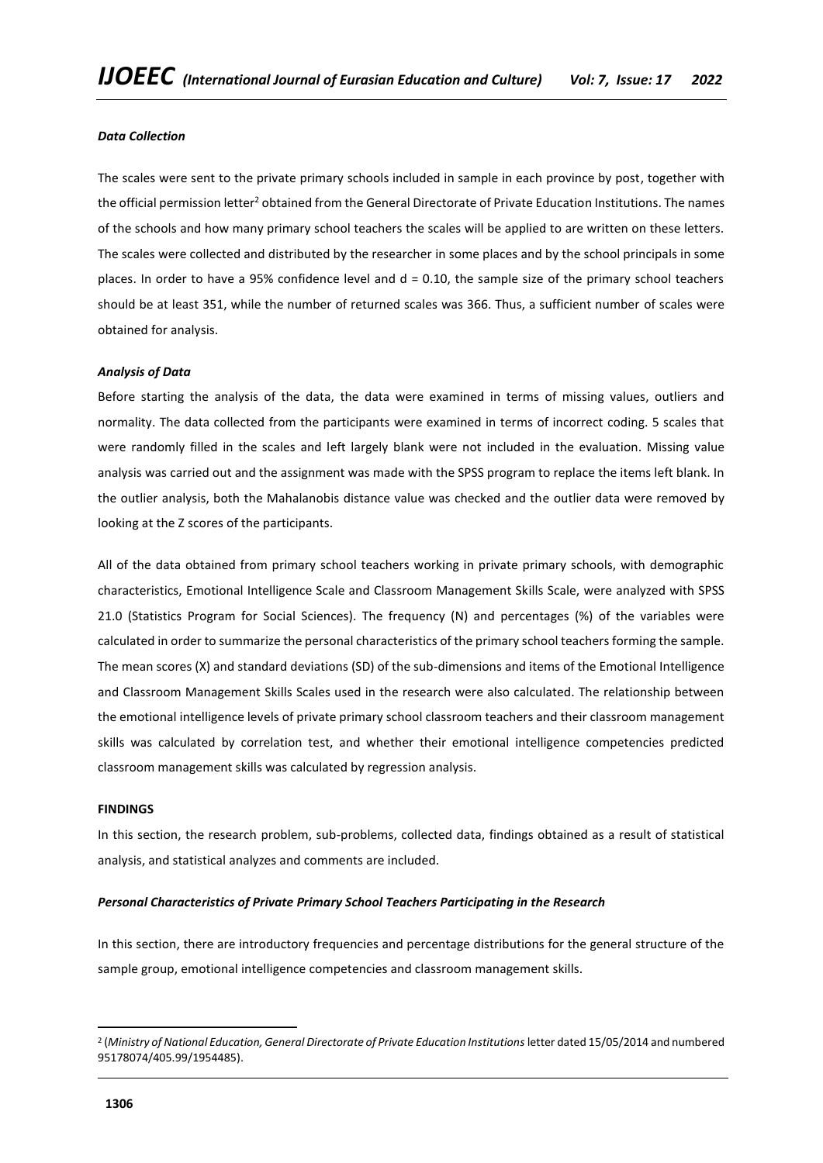# *Data Collection*

The scales were sent to the private primary schools included in sample in each province by post, together with the official permission letter<sup>2</sup> obtained from the General Directorate of Private Education Institutions. The names of the schools and how many primary school teachers the scales will be applied to are written on these letters. The scales were collected and distributed by the researcher in some places and by the school principals in some places. In order to have a 95% confidence level and  $d = 0.10$ , the sample size of the primary school teachers should be at least 351, while the number of returned scales was 366. Thus, a sufficient number of scales were obtained for analysis.

#### *Analysis of Data*

Before starting the analysis of the data, the data were examined in terms of missing values, outliers and normality. The data collected from the participants were examined in terms of incorrect coding. 5 scales that were randomly filled in the scales and left largely blank were not included in the evaluation. Missing value analysis was carried out and the assignment was made with the SPSS program to replace the items left blank. In the outlier analysis, both the Mahalanobis distance value was checked and the outlier data were removed by looking at the Z scores of the participants.

All of the data obtained from primary school teachers working in private primary schools, with demographic characteristics, Emotional Intelligence Scale and Classroom Management Skills Scale, were analyzed with SPSS 21.0 (Statistics Program for Social Sciences). The frequency (N) and percentages (%) of the variables were calculated in order to summarize the personal characteristics of the primary school teachers forming the sample. The mean scores (X) and standard deviations (SD) of the sub-dimensions and items of the Emotional Intelligence and Classroom Management Skills Scales used in the research were also calculated. The relationship between the emotional intelligence levels of private primary school classroom teachers and their classroom management skills was calculated by correlation test, and whether their emotional intelligence competencies predicted classroom management skills was calculated by regression analysis.

#### **FINDINGS**

In this section, the research problem, sub-problems, collected data, findings obtained as a result of statistical analysis, and statistical analyzes and comments are included.

#### *Personal Characteristics of Private Primary School Teachers Participating in the Research*

In this section, there are introductory frequencies and percentage distributions for the general structure of the sample group, emotional intelligence competencies and classroom management skills.

<sup>2</sup> (*Ministry of National Education, General Directorate of Private Education Institutions* letter dated 15/05/2014 and numbered 95178074/405.99/1954485).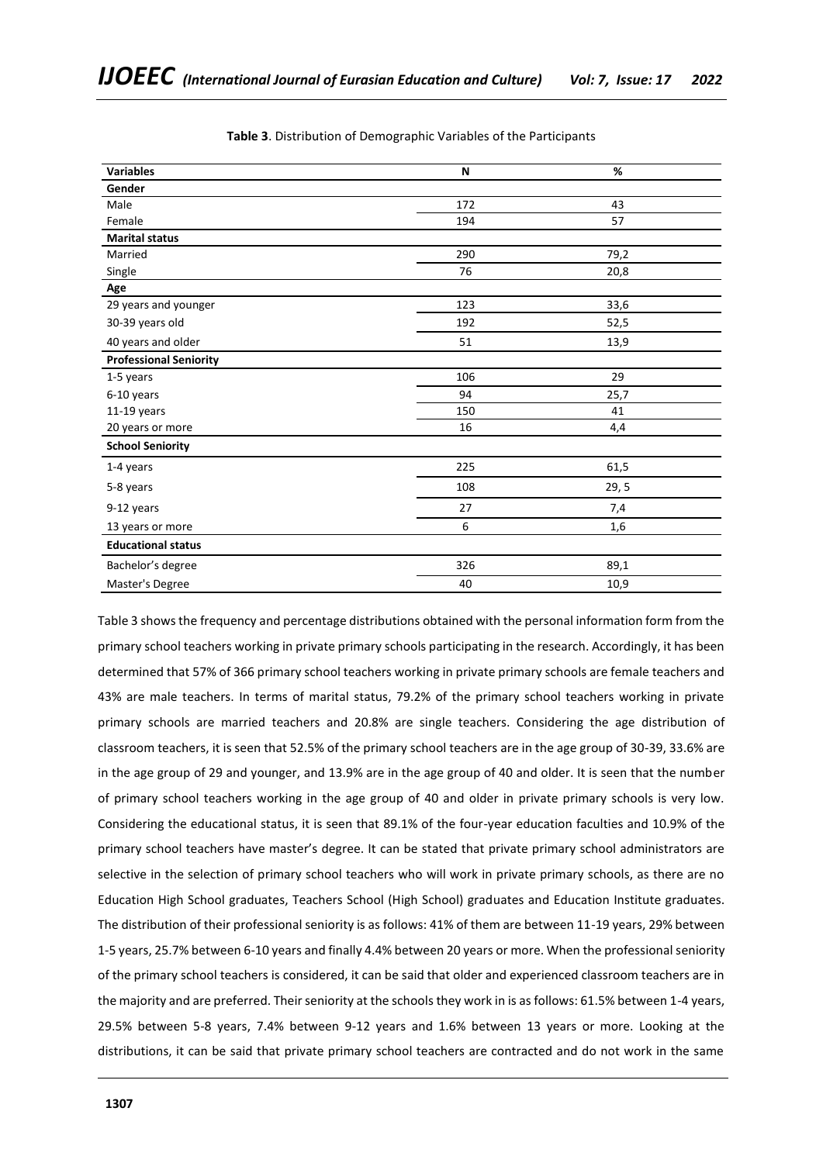| <b>Variables</b>              | N   | %     |  |
|-------------------------------|-----|-------|--|
| Gender                        |     |       |  |
| Male                          | 172 | 43    |  |
| Female                        | 194 | 57    |  |
| <b>Marital status</b>         |     |       |  |
| Married                       | 290 | 79,2  |  |
| Single                        | 76  | 20,8  |  |
| Age                           |     |       |  |
| 29 years and younger          | 123 | 33,6  |  |
| 30-39 years old               | 192 | 52,5  |  |
| 40 years and older            | 51  | 13,9  |  |
| <b>Professional Seniority</b> |     |       |  |
| 1-5 years                     | 106 | 29    |  |
| 6-10 years                    | 94  | 25,7  |  |
| $11-19$ years                 | 150 | 41    |  |
| 20 years or more              | 16  | 4,4   |  |
| <b>School Seniority</b>       |     |       |  |
| 1-4 years                     | 225 | 61,5  |  |
| 5-8 years                     | 108 | 29, 5 |  |
| 9-12 years                    | 27  | 7,4   |  |
| 13 years or more              | 6   | 1,6   |  |
| <b>Educational status</b>     |     |       |  |
| Bachelor's degree             | 326 | 89,1  |  |
| Master's Degree               | 40  | 10,9  |  |

**Table 3**. Distribution of Demographic Variables of the Participants

Table 3 shows the frequency and percentage distributions obtained with the personal information form from the primary school teachers working in private primary schools participating in the research. Accordingly, it has been determined that 57% of 366 primary school teachers working in private primary schools are female teachers and 43% are male teachers. In terms of marital status, 79.2% of the primary school teachers working in private primary schools are married teachers and 20.8% are single teachers. Considering the age distribution of classroom teachers, it is seen that 52.5% of the primary school teachers are in the age group of 30-39, 33.6% are in the age group of 29 and younger, and 13.9% are in the age group of 40 and older. It is seen that the number of primary school teachers working in the age group of 40 and older in private primary schools is very low. Considering the educational status, it is seen that 89.1% of the four-year education faculties and 10.9% of the primary school teachers have master's degree. It can be stated that private primary school administrators are selective in the selection of primary school teachers who will work in private primary schools, as there are no Education High School graduates, Teachers School (High School) graduates and Education Institute graduates. The distribution of their professional seniority is as follows: 41% of them are between 11-19 years, 29% between 1-5 years, 25.7% between 6-10 years and finally 4.4% between 20 years or more. When the professional seniority of the primary school teachers is considered, it can be said that older and experienced classroom teachers are in the majority and are preferred. Their seniority at the schools they work in is as follows: 61.5% between 1-4 years, 29.5% between 5-8 years, 7.4% between 9-12 years and 1.6% between 13 years or more. Looking at the distributions, it can be said that private primary school teachers are contracted and do not work in the same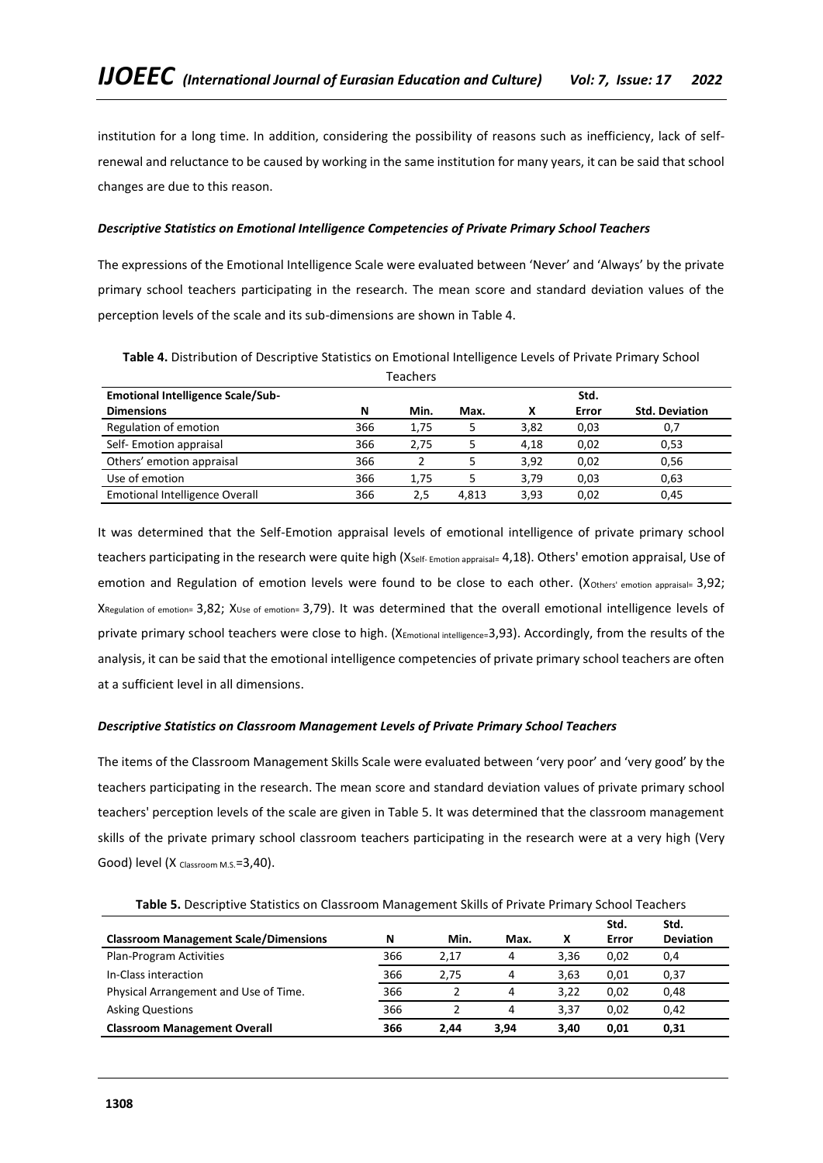institution for a long time. In addition, considering the possibility of reasons such as inefficiency, lack of selfrenewal and reluctance to be caused by working in the same institution for many years, it can be said that school changes are due to this reason.

# *Descriptive Statistics on Emotional Intelligence Competencies of Private Primary School Teachers*

The expressions of the Emotional Intelligence Scale were evaluated between 'Never' and 'Always' by the private primary school teachers participating in the research. The mean score and standard deviation values of the perception levels of the scale and its sub-dimensions are shown in Table 4.

| <b>Teachers</b>                                  |     |      |       |      |       |                       |  |
|--------------------------------------------------|-----|------|-------|------|-------|-----------------------|--|
| <b>Emotional Intelligence Scale/Sub-</b><br>Std. |     |      |       |      |       |                       |  |
| <b>Dimensions</b>                                | N   | Min. | Max.  | x    | Error | <b>Std. Deviation</b> |  |
| Regulation of emotion                            | 366 | 1,75 | 5     | 3,82 | 0,03  | 0,7                   |  |
| Self-Emotion appraisal                           | 366 | 2.75 | 5     | 4.18 | 0.02  | 0,53                  |  |
| Others' emotion appraisal                        | 366 |      |       | 3.92 | 0,02  | 0,56                  |  |
| Use of emotion                                   | 366 | 1.75 |       | 3.79 | 0,03  | 0,63                  |  |
| <b>Emotional Intelligence Overall</b>            | 366 | 2,5  | 4.813 | 3.93 | 0.02  | 0,45                  |  |

**Table 4.** Distribution of Descriptive Statistics on Emotional Intelligence Levels of Private Primary School

It was determined that the Self-Emotion appraisal levels of emotional intelligence of private primary school teachers participating in the research were quite high (X<sub>Self- Emotion appraisal=</sub> 4,18). Others' emotion appraisal, Use of emotion and Regulation of emotion levels were found to be close to each other. (X<sub>Others' emotion appraisal</sub>= 3,92; XRegulation of emotion= 3,82; XUse of emotion= 3,79). It was determined that the overall emotional intelligence levels of private primary school teachers were close to high. (XEmotional intelligence=3,93). Accordingly, from the results of the analysis, it can be said that the emotional intelligence competencies of private primary school teachers are often at a sufficient level in all dimensions.

# *Descriptive Statistics on Classroom Management Levels of Private Primary School Teachers*

The items of the Classroom Management Skills Scale were evaluated between 'very poor' and 'very good' by the teachers participating in the research. The mean score and standard deviation values of private primary school teachers' perception levels of the scale are given in Table 5. It was determined that the classroom management skills of the private primary school classroom teachers participating in the research were at a very high (Very Good) level (X Classroom M.S.=3,40).

| Table 5. Descriptive Statistics on Classroom Management Skills of Private Primary School Teachers |  |  |
|---------------------------------------------------------------------------------------------------|--|--|
|---------------------------------------------------------------------------------------------------|--|--|

|                                              |     |      |      |      | Std.  | Std.             |
|----------------------------------------------|-----|------|------|------|-------|------------------|
| <b>Classroom Management Scale/Dimensions</b> | N   | Min. | Max. | x    | Error | <b>Deviation</b> |
| Plan-Program Activities                      | 366 | 2.17 | 4    | 3.36 | 0.02  | 0,4              |
| In-Class interaction                         | 366 | 2.75 | 4    | 3.63 | 0.01  | 0,37             |
| Physical Arrangement and Use of Time.        | 366 |      | 4    | 3.22 | 0,02  | 0,48             |
| <b>Asking Questions</b>                      | 366 |      | 4    | 3.37 | 0.02  | 0,42             |
| <b>Classroom Management Overall</b>          | 366 | 2.44 | 3.94 | 3.40 | 0.01  | 0,31             |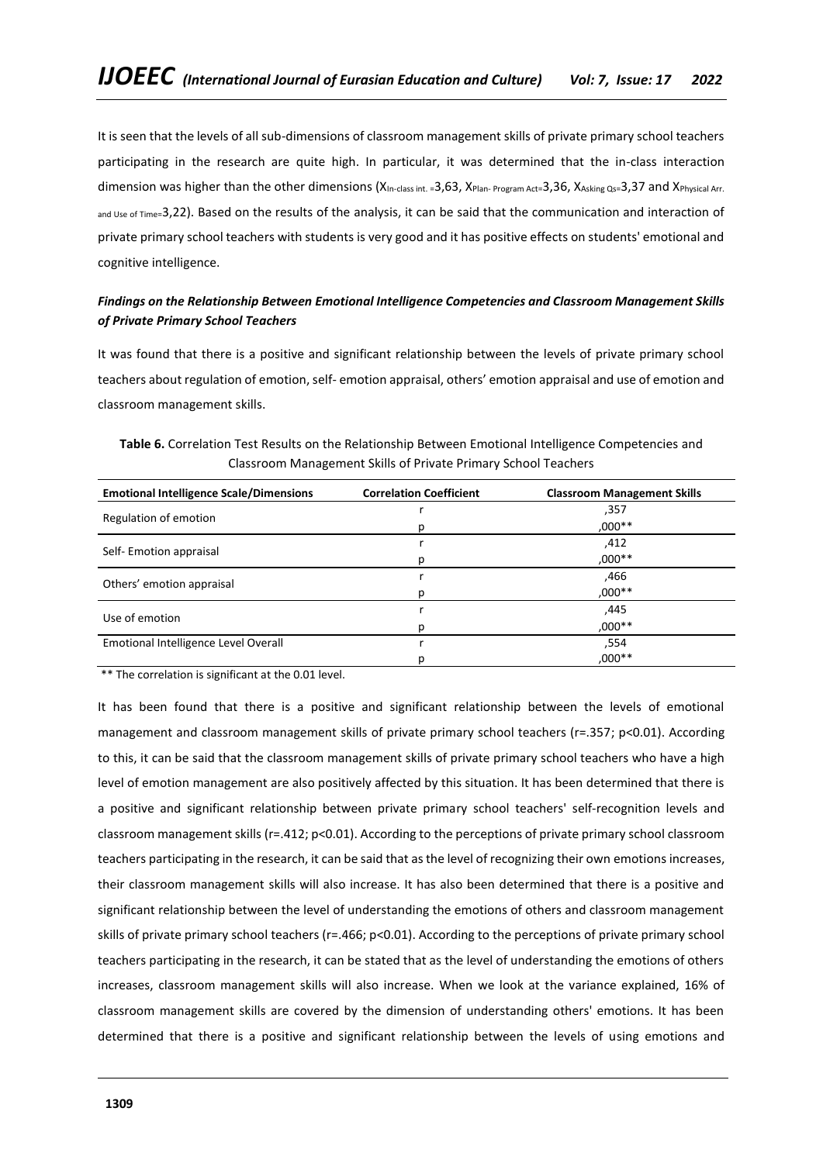It is seen that the levels of all sub-dimensions of classroom management skills of private primary school teachers participating in the research are quite high. In particular, it was determined that the in-class interaction dimension was higher than the other dimensions (X<sub>In-class int.</sub> =3,63, X<sub>Plan- Program Act=3,36, XAsking Qs=3,37 and X<sub>Physical Arr.</sub></sub> and Use of Time=3,22). Based on the results of the analysis, it can be said that the communication and interaction of private primary school teachers with students is very good and it has positive effects on students' emotional and cognitive intelligence.

# *Findings on the Relationship Between Emotional Intelligence Competencies and Classroom Management Skills of Private Primary School Teachers*

It was found that there is a positive and significant relationship between the levels of private primary school teachers about regulation of emotion, self- emotion appraisal, others' emotion appraisal and use of emotion and classroom management skills.

| <b>Emotional Intelligence Scale/Dimensions</b> | <b>Correlation Coefficient</b> | <b>Classroom Management Skills</b> |
|------------------------------------------------|--------------------------------|------------------------------------|
|                                                |                                | ,357                               |
| Regulation of emotion                          | D                              | ,000**                             |
|                                                |                                | ,412                               |
| Self-Emotion appraisal                         |                                | ,000**                             |
|                                                |                                | ,466                               |
| Others' emotion appraisal                      |                                | $,000**$                           |
| Use of emotion                                 |                                | ,445                               |
|                                                |                                | ,000**                             |
| Emotional Intelligence Level Overall           |                                | .554                               |
|                                                |                                | $,000**$                           |

**Table 6.** Correlation Test Results on the Relationship Between Emotional Intelligence Competencies and Classroom Management Skills of Private Primary School Teachers

\*\* The correlation is significant at the 0.01 level.

It has been found that there is a positive and significant relationship between the levels of emotional management and classroom management skills of private primary school teachers (r=.357; p<0.01). According to this, it can be said that the classroom management skills of private primary school teachers who have a high level of emotion management are also positively affected by this situation. It has been determined that there is a positive and significant relationship between private primary school teachers' self-recognition levels and classroom management skills (r=.412; p<0.01). According to the perceptions of private primary school classroom teachers participating in the research, it can be said that as the level of recognizing their own emotions increases, their classroom management skills will also increase. It has also been determined that there is a positive and significant relationship between the level of understanding the emotions of others and classroom management skills of private primary school teachers (r=.466; p<0.01). According to the perceptions of private primary school teachers participating in the research, it can be stated that as the level of understanding the emotions of others increases, classroom management skills will also increase. When we look at the variance explained, 16% of classroom management skills are covered by the dimension of understanding others' emotions. It has been determined that there is a positive and significant relationship between the levels of using emotions and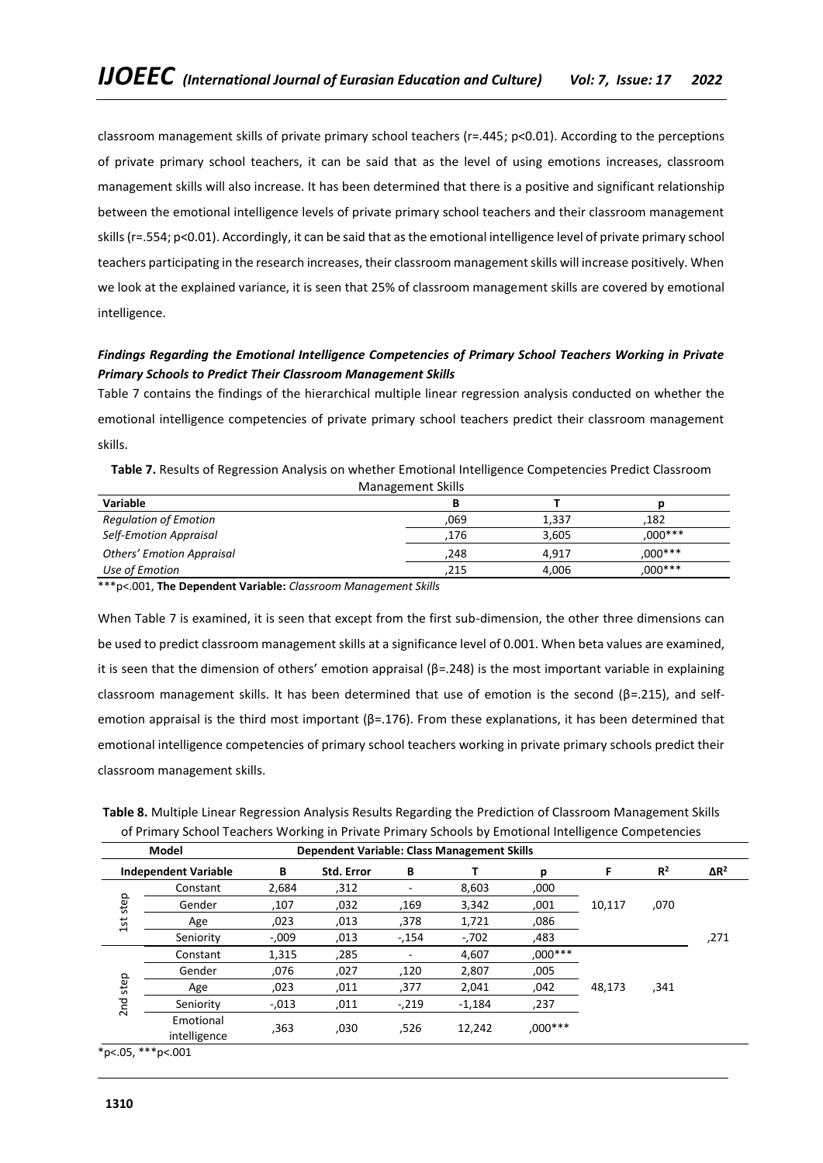classroom management skills of private primary school teachers (r=.445; p<0.01). According to the perceptions of private primary school teachers, it can be said that as the level of using emotions increases, classroom management skills will also increase. It has been determined that there is a positive and significant relationship between the emotional intelligence levels of private primary school teachers and their classroom management skills (r=.554; p<0.01). Accordingly, it can be said that as the emotional intelligence level of private primary school teachers participating in the research increases, their classroom management skills will increase positively. When we look at the explained variance, it is seen that 25% of classroom management skills are covered by emotional intelligence.

# *Findings Regarding the Emotional Intelligence Competencies of Primary School Teachers Working in Private Primary Schools to Predict Their Classroom Management Skills*

Table 7 contains the findings of the hierarchical multiple linear regression analysis conducted on whether the emotional intelligence competencies of private primary school teachers predict their classroom management skills.

| Variable                         |      |       |           |  |  |  |
|----------------------------------|------|-------|-----------|--|--|--|
| <b>Regulation of Emotion</b>     | 069. | 1.337 | .182      |  |  |  |
| <b>Self-Emotion Appraisal</b>    | .176 | 3.605 | $.000***$ |  |  |  |
| <b>Others' Emotion Appraisal</b> | 248. | 4.917 | $.000***$ |  |  |  |
| Use of Emotion                   | 215  | 4,006 | $.000***$ |  |  |  |

| Table 7. Results of Regression Analysis on whether Emotional Intelligence Competencies Predict Classroom |                   |  |
|----------------------------------------------------------------------------------------------------------|-------------------|--|
|                                                                                                          | Management Skills |  |

\*\*\*p<.001, **The Dependent Variable:** *Classroom Management Skills*

When Table 7 is examined, it is seen that except from the first sub-dimension, the other three dimensions can be used to predict classroom management skills at a significance level of 0.001. When beta values are examined, it is seen that the dimension of others' emotion appraisal ( $\beta$ =.248) is the most important variable in explaining classroom management skills. It has been determined that use of emotion is the second (β=.215), and selfemotion appraisal is the third most important ( $\beta$ =.176). From these explanations, it has been determined that emotional intelligence competencies of primary school teachers working in private primary schools predict their classroom management skills.

| Table 8. Multiple Linear Regression Analysis Results Regarding the Prediction of Classroom Management Skills |
|--------------------------------------------------------------------------------------------------------------|
| of Primary School Teachers Working in Private Primary Schools by Emotional Intelligence Competencies         |

|                          | Model                       | <b>Dependent Variable: Class Management Skills</b> |            |        |          |         |        |       |                         |
|--------------------------|-----------------------------|----------------------------------------------------|------------|--------|----------|---------|--------|-------|-------------------------|
|                          | <b>Independent Variable</b> | В                                                  | Std. Error | В      |          | р       |        | $R^2$ | $\Delta$ R <sup>2</sup> |
|                          | Constant                    | 2,684                                              | ,312       |        | 8,603    | ,000    |        |       |                         |
| step                     | Gender                      | ,107                                               | ,032       | .169   | 3,342    | ,001    | 10,117 | ,070  |                         |
| 1st                      | Age                         | ,023                                               | ,013       | ,378   | 1,721    | ,086    |        |       |                         |
|                          | Seniority                   | $-0.009$                                           | ,013       | $-154$ | $-.702$  | ,483    |        |       | ,271                    |
|                          | Constant                    | 1,315                                              | ,285       |        | 4,607    | ,000*** |        |       |                         |
|                          | Gender                      | ,076                                               | ,027       | ,120   | 2,807    | ,005    |        |       |                         |
| step                     | Age                         | ,023                                               | ,011       | ,377   | 2,041    | .042    | 48,173 | ,341  |                         |
| 2 <sub>nd</sub>          | Seniority                   | $-0.013$                                           | ,011       | $-219$ | $-1,184$ | ,237    |        |       |                         |
|                          | Emotional<br>intelligence   | ,363                                               | ,030       | ,526   | 12.242   | ,000*** |        |       |                         |
| $* - 205$ $* * * - 2001$ |                             |                                                    |            |        |          |         |        |       |                         |

\*p<.05, \*\*\*p<.001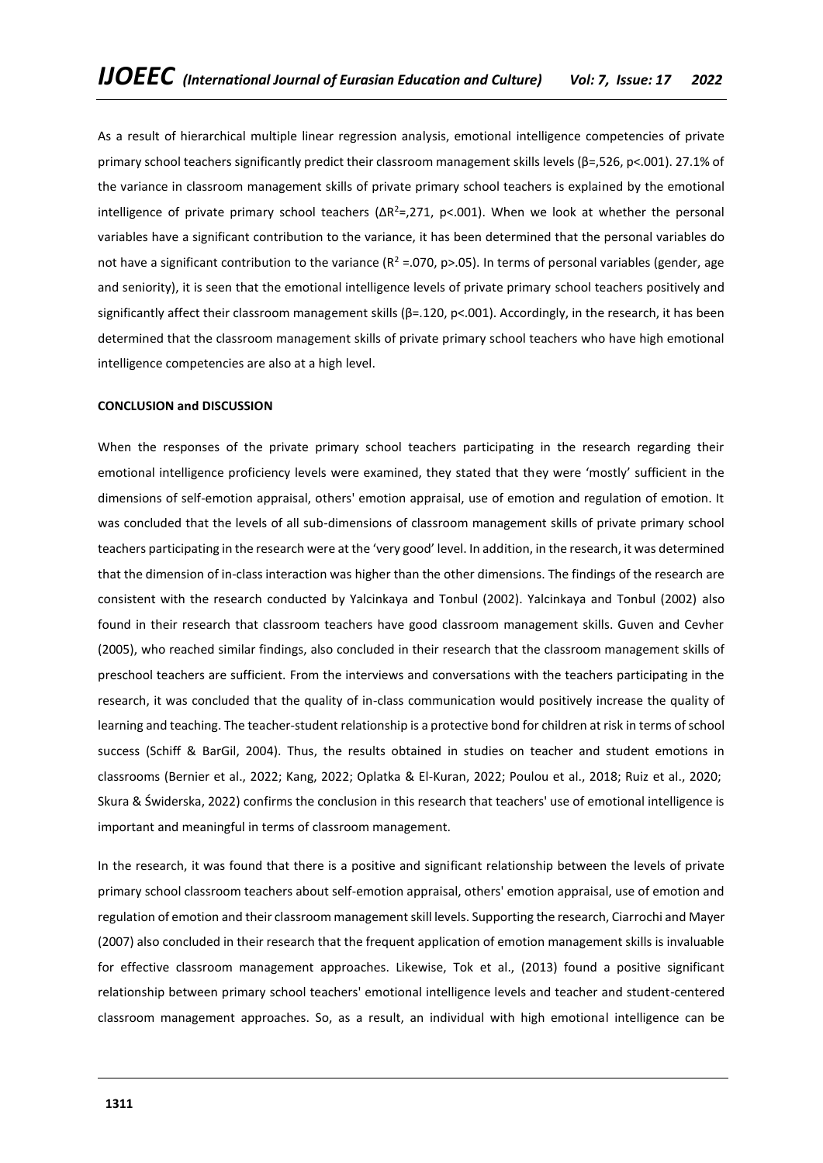As a result of hierarchical multiple linear regression analysis, emotional intelligence competencies of private primary school teachers significantly predict their classroom management skills levels (β=,526, p<.001). 27.1% of the variance in classroom management skills of private primary school teachers is explained by the emotional intelligence of private primary school teachers ( $\Delta R^2 = 271$ , p<.001). When we look at whether the personal variables have a significant contribution to the variance, it has been determined that the personal variables do not have a significant contribution to the variance ( $R^2$  =.070, p>.05). In terms of personal variables (gender, age and seniority), it is seen that the emotional intelligence levels of private primary school teachers positively and significantly affect their classroom management skills (β=.120, p<.001). Accordingly, in the research, it has been determined that the classroom management skills of private primary school teachers who have high emotional intelligence competencies are also at a high level.

#### **CONCLUSION and DISCUSSION**

When the responses of the private primary school teachers participating in the research regarding their emotional intelligence proficiency levels were examined, they stated that they were 'mostly' sufficient in the dimensions of self-emotion appraisal, others' emotion appraisal, use of emotion and regulation of emotion. It was concluded that the levels of all sub-dimensions of classroom management skills of private primary school teachers participating in the research were at the 'very good' level. In addition, in the research, it was determined that the dimension of in-class interaction was higher than the other dimensions. The findings of the research are consistent with the research conducted by Yalcinkaya and Tonbul (2002). Yalcinkaya and Tonbul (2002) also found in their research that classroom teachers have good classroom management skills. Guven and Cevher (2005), who reached similar findings, also concluded in their research that the classroom management skills of preschool teachers are sufficient. From the interviews and conversations with the teachers participating in the research, it was concluded that the quality of in-class communication would positively increase the quality of learning and teaching. The teacher-student relationship is a protective bond for children at risk in terms of school success (Schiff & BarGil, 2004). Thus, the results obtained in studies on teacher and student emotions in classrooms (Bernier et al., 2022; Kang, 2022; Oplatka & El-Kuran, 2022; Poulou et al., 2018; Ruiz et al., 2020;; Skura & Świderska, 2022) confirms the conclusion in this research that teachers' use of emotional intelligence is important and meaningful in terms of classroom management.

In the research, it was found that there is a positive and significant relationship between the levels of private primary school classroom teachers about self-emotion appraisal, others' emotion appraisal, use of emotion and regulation of emotion and their classroom management skill levels. Supporting the research, Ciarrochi and Mayer (2007) also concluded in their research that the frequent application of emotion management skills is invaluable for effective classroom management approaches. Likewise, Tok et al., (2013) found a positive significant relationship between primary school teachers' emotional intelligence levels and teacher and student-centered classroom management approaches. So, as a result, an individual with high emotional intelligence can be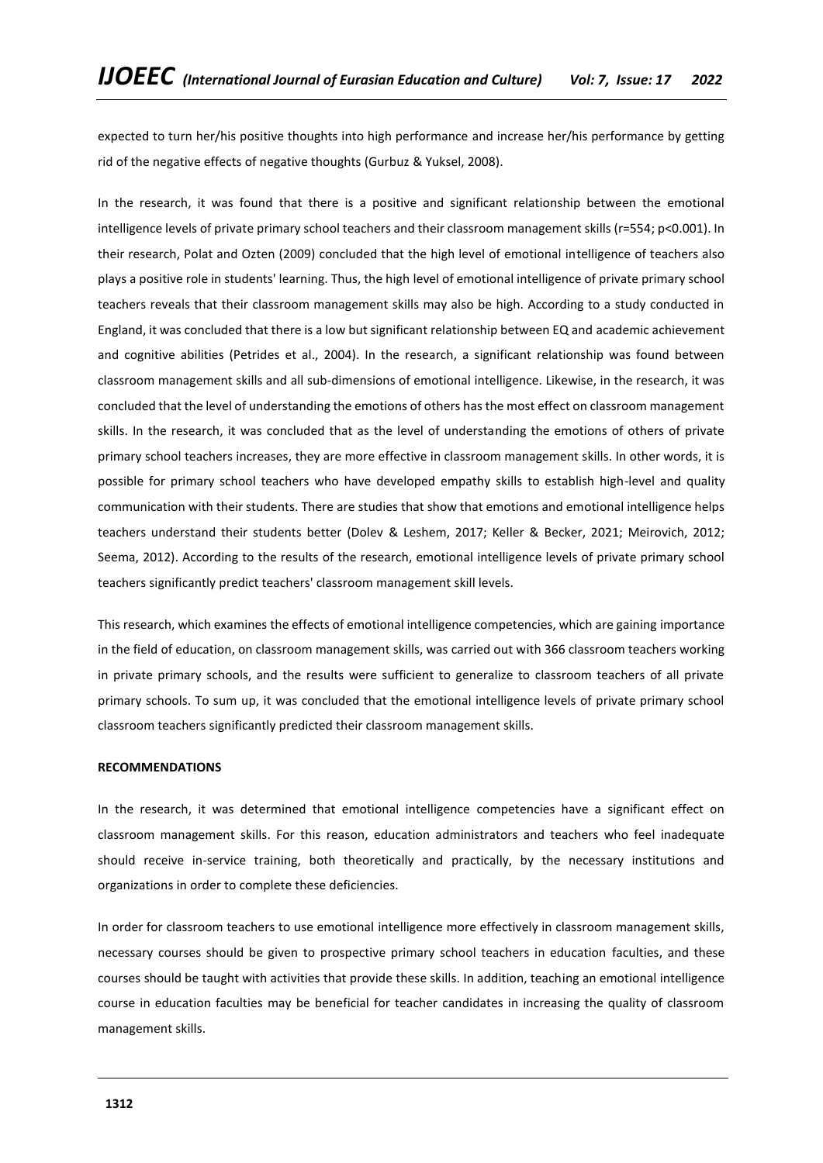expected to turn her/his positive thoughts into high performance and increase her/his performance by getting rid of the negative effects of negative thoughts (Gurbuz & Yuksel, 2008).

In the research, it was found that there is a positive and significant relationship between the emotional intelligence levels of private primary school teachers and their classroom management skills (r=554; p<0.001). In their research, Polat and Ozten (2009) concluded that the high level of emotional intelligence of teachers also plays a positive role in students' learning. Thus, the high level of emotional intelligence of private primary school teachers reveals that their classroom management skills may also be high. According to a study conducted in England, it was concluded that there is a low but significant relationship between EQ and academic achievement and cognitive abilities (Petrides et al., 2004). In the research, a significant relationship was found between classroom management skills and all sub-dimensions of emotional intelligence. Likewise, in the research, it was concluded that the level of understanding the emotions of others has the most effect on classroom management skills. In the research, it was concluded that as the level of understanding the emotions of others of private primary school teachers increases, they are more effective in classroom management skills. In other words, it is possible for primary school teachers who have developed empathy skills to establish high-level and quality communication with their students. There are studies that show that emotions and emotional intelligence helps teachers understand their students better (Dolev & Leshem, 2017; Keller & Becker, 2021; Meirovich, 2012; Seema, 2012). According to the results of the research, emotional intelligence levels of private primary school teachers significantly predict teachers' classroom management skill levels.

This research, which examines the effects of emotional intelligence competencies, which are gaining importance in the field of education, on classroom management skills, was carried out with 366 classroom teachers working in private primary schools, and the results were sufficient to generalize to classroom teachers of all private primary schools. To sum up, it was concluded that the emotional intelligence levels of private primary school classroom teachers significantly predicted their classroom management skills.

#### **RECOMMENDATIONS**

In the research, it was determined that emotional intelligence competencies have a significant effect on classroom management skills. For this reason, education administrators and teachers who feel inadequate should receive in-service training, both theoretically and practically, by the necessary institutions and organizations in order to complete these deficiencies.

In order for classroom teachers to use emotional intelligence more effectively in classroom management skills, necessary courses should be given to prospective primary school teachers in education faculties, and these courses should be taught with activities that provide these skills. In addition, teaching an emotional intelligence course in education faculties may be beneficial for teacher candidates in increasing the quality of classroom management skills.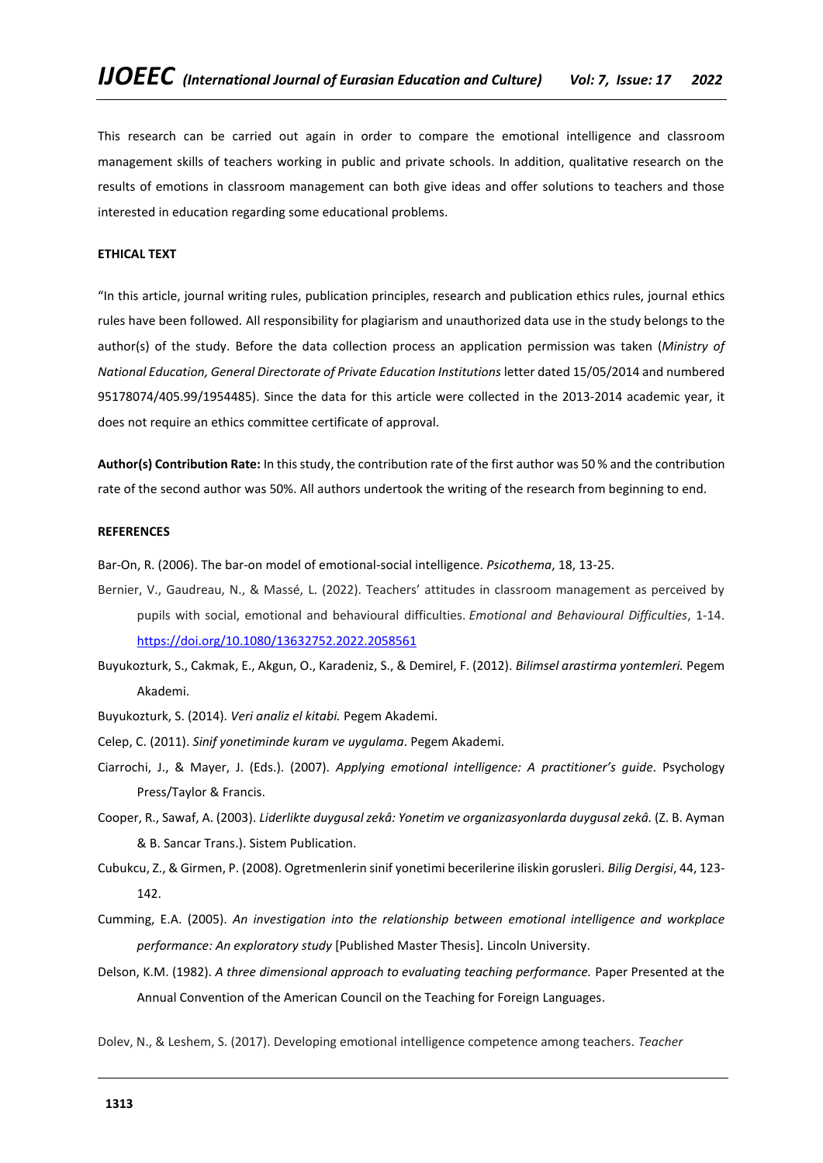This research can be carried out again in order to compare the emotional intelligence and classroom management skills of teachers working in public and private schools. In addition, qualitative research on the results of emotions in classroom management can both give ideas and offer solutions to teachers and those interested in education regarding some educational problems.

# **ETHICAL TEXT**

"In this article, journal writing rules, publication principles, research and publication ethics rules, journal ethics rules have been followed. All responsibility for plagiarism and unauthorized data use in the study belongs to the author(s) of the study. Before the data collection process an application permission was taken (*Ministry of National Education, General Directorate of Private Education Institutions* letter dated 15/05/2014 and numbered 95178074/405.99/1954485). Since the data for this article were collected in the 2013-2014 academic year, it does not require an ethics committee certificate of approval.

**Author(s) Contribution Rate:** In this study, the contribution rate of the first author was 50 % and the contribution rate of the second author was 50%. All authors undertook the writing of the research from beginning to end.

#### **REFERENCES**

Bar-On, R. (2006). The bar-on model of emotional-social intelligence. *Psicothema*, 18, 13-25.

- Bernier, V., Gaudreau, N., & Massé, L. (2022). Teachers' attitudes in classroom management as perceived by pupils with social, emotional and behavioural difficulties. *Emotional and Behavioural Difficulties*, 1-14. <https://doi.org/10.1080/13632752.2022.2058561>
- Buyukozturk, S., Cakmak, E., Akgun, O., Karadeniz, S., & Demirel, F. (2012). *Bilimsel arastirma yontemleri.* Pegem Akademi.
- Buyukozturk, S. (2014). *Veri analiz el kitabi.* Pegem Akademi.
- Celep, C. (2011). *Sinif yonetiminde kuram ve uygulama*. Pegem Akademi.
- Ciarrochi, J., & Mayer, J. (Eds.). (2007). *Applying emotional intelligence: A practitioner's guide*. Psychology Press/Taylor & Francis.
- Cooper, R., Sawaf, A. (2003). *Liderlikte duygusal zekâ: Yonetim ve organizasyonlarda duygusal zekâ.* (Z. B. Ayman & B. Sancar Trans.). Sistem Publication.
- Cubukcu, Z., & Girmen, P. (2008). Ogretmenlerin sinif yonetimi becerilerine iliskin gorusleri. *Bilig Dergisi*, 44, 123- 142.
- Cumming, E.A. (2005). *An investigation into the relationship between emotional intelligence and workplace performance: An exploratory study* [Published Master Thesis]. Lincoln University.
- Delson, K.M. (1982). *A three dimensional approach to evaluating teaching performance.* Paper Presented at the Annual Convention of the American Council on the Teaching for Foreign Languages.

Dolev, N., & Leshem, S. (2017). Developing emotional intelligence competence among teachers. *Teacher*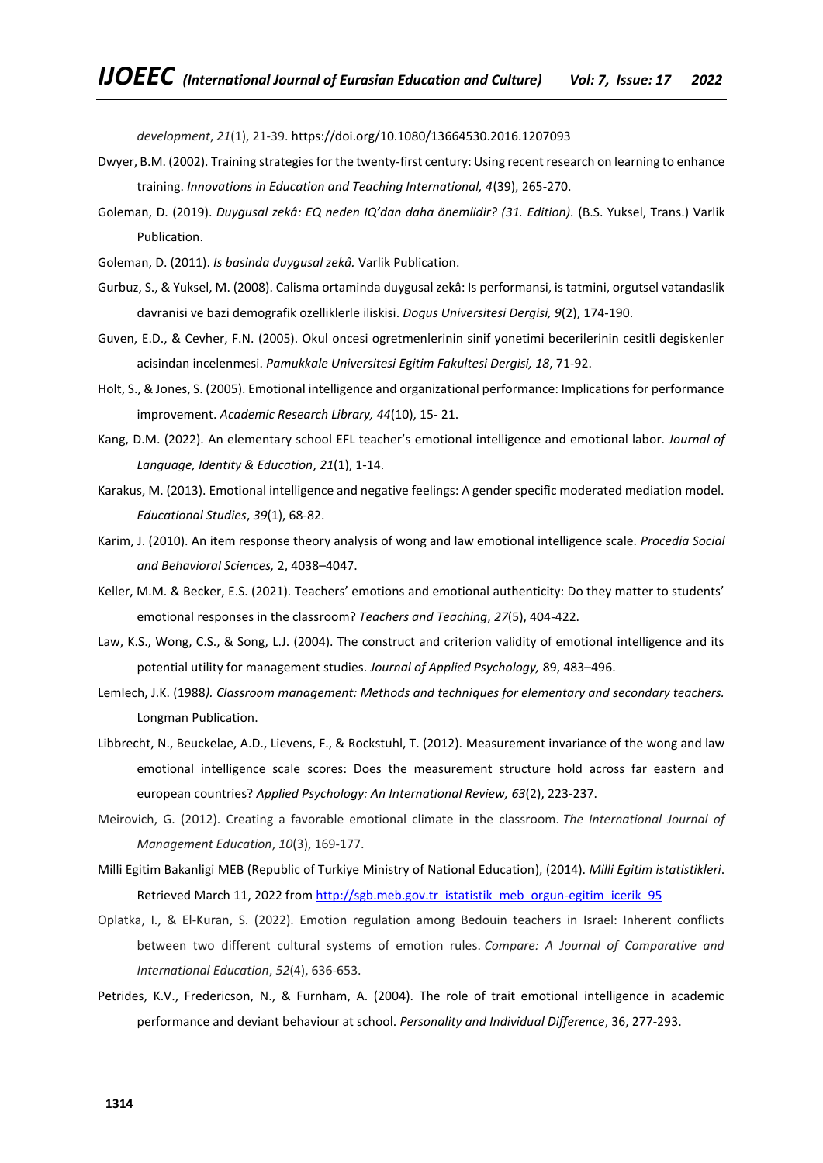*development*, *21*(1), 21-39. https://doi.org/10.1080/13664530.2016.1207093

- Dwyer, B.M. (2002). Training strategies for the twenty-first century: Using recent research on learning to enhance training. *Innovations in Education and Teaching International, 4*(39), 265-270.
- Goleman, D. (2019). *Duygusal zekâ: EQ neden IQ'dan daha önemlidir? (31. Edition).* (B.S. Yuksel, Trans.) Varlik Publication.
- Goleman, D. (2011). *Is basinda duygusal zekâ.* Varlik Publication.
- Gurbuz, S., & Yuksel, M. (2008). Calisma ortaminda duygusal zekâ: Is performansi, is tatmini, orgutsel vatandaslik davranisi ve bazi demografik ozelliklerle iliskisi. *Dogus Universitesi Dergisi, 9*(2), 174-190.
- Guven, E.D., & Cevher, F.N. (2005). Okul oncesi ogretmenlerinin sinif yonetimi becerilerinin cesitli degiskenler acisindan incelenmesi. *Pamukkale Universitesi E*g*itim Fakultesi Dergisi, 18*, 71-92.
- Holt, S., & Jones, S. (2005). Emotional intelligence and organizational performance: Implications for performance improvement. *Academic Research Library, 44*(10), 15- 21.
- Kang, D.M. (2022). An elementary school EFL teacher's emotional intelligence and emotional labor. *Journal of Language, Identity & Education*, *21*(1), 1-14.
- Karakus, M. (2013). Emotional intelligence and negative feelings: A gender specific moderated mediation model. *Educational Studies*, *39*(1), 68-82.
- Karim, J. (2010). An item response theory analysis of wong and law emotional intelligence scale. *Procedia Social and Behavioral Sciences,* 2, 4038–4047.
- Keller, M.M. & Becker, E.S. (2021). Teachers' emotions and emotional authenticity: Do they matter to students' emotional responses in the classroom? *Teachers and Teaching*, *27*(5), 404-422.
- Law, K.S., Wong, C.S., & Song, L.J. (2004). The construct and criterion validity of emotional intelligence and its potential utility for management studies. *Journal of Applied Psychology,* 89, 483–496.
- Lemlech, J.K. (1988*). Classroom management: Methods and techniques for elementary and secondary teachers.* Longman Publication.
- Libbrecht, N., Beuckelae, A.D., Lievens, F., & Rockstuhl, T. (2012). Measurement invariance of the wong and law emotional intelligence scale scores: Does the measurement structure hold across far eastern and european countries? *Applied Psychology: An International Review, 63*(2), 223-237.
- Meirovich, G. (2012). Creating a favorable emotional climate in the classroom. *The International Journal of Management Education*, *10*(3), 169-177.
- Milli Egitim Bakanligi MEB (Republic of Turkiye Ministry of National Education), (2014). *Milli Egitim istatistikleri*. Retrieved March 11, 2022 from [http://sgb.meb.gov.tr\\_istatistik\\_meb\\_orgun-egitim\\_icerik\\_95](http://sgb.meb.gov.tr_istatistik_meb_orgun-egitim_icerik_95/)
- Oplatka, I., & El-Kuran, S. (2022). Emotion regulation among Bedouin teachers in Israel: Inherent conflicts between two different cultural systems of emotion rules. *Compare: A Journal of Comparative and International Education*, *52*(4), 636-653.
- Petrides, K.V., Fredericson, N., & Furnham, A. (2004). The role of trait emotional intelligence in academic performance and deviant behaviour at school. *Personality and Individual Difference*, 36, 277-293.